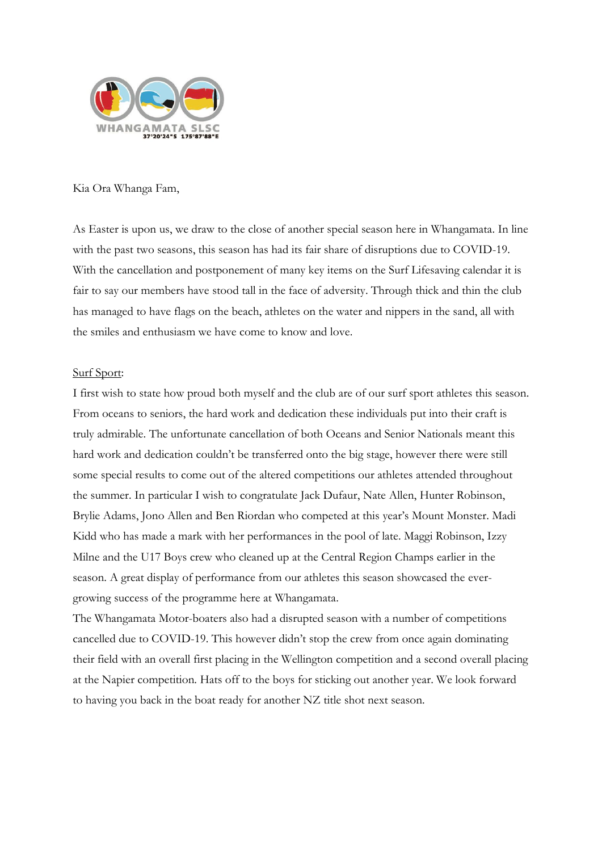

# Kia Ora Whanga Fam,

As Easter is upon us, we draw to the close of another special season here in Whangamata. In line with the past two seasons, this season has had its fair share of disruptions due to COVID-19. With the cancellation and postponement of many key items on the Surf Lifesaving calendar it is fair to say our members have stood tall in the face of adversity. Through thick and thin the club has managed to have flags on the beach, athletes on the water and nippers in the sand, all with the smiles and enthusiasm we have come to know and love.

# Surf Sport:

I first wish to state how proud both myself and the club are of our surf sport athletes this season. From oceans to seniors, the hard work and dedication these individuals put into their craft is truly admirable. The unfortunate cancellation of both Oceans and Senior Nationals meant this hard work and dedication couldn't be transferred onto the big stage, however there were still some special results to come out of the altered competitions our athletes attended throughout the summer. In particular I wish to congratulate Jack Dufaur, Nate Allen, Hunter Robinson, Brylie Adams, Jono Allen and Ben Riordan who competed at this year's Mount Monster. Madi Kidd who has made a mark with her performances in the pool of late. Maggi Robinson, Izzy Milne and the U17 Boys crew who cleaned up at the Central Region Champs earlier in the season. A great display of performance from our athletes this season showcased the evergrowing success of the programme here at Whangamata.

The Whangamata Motor-boaters also had a disrupted season with a number of competitions cancelled due to COVID-19. This however didn't stop the crew from once again dominating their field with an overall first placing in the Wellington competition and a second overall placing at the Napier competition. Hats off to the boys for sticking out another year. We look forward to having you back in the boat ready for another NZ title shot next season.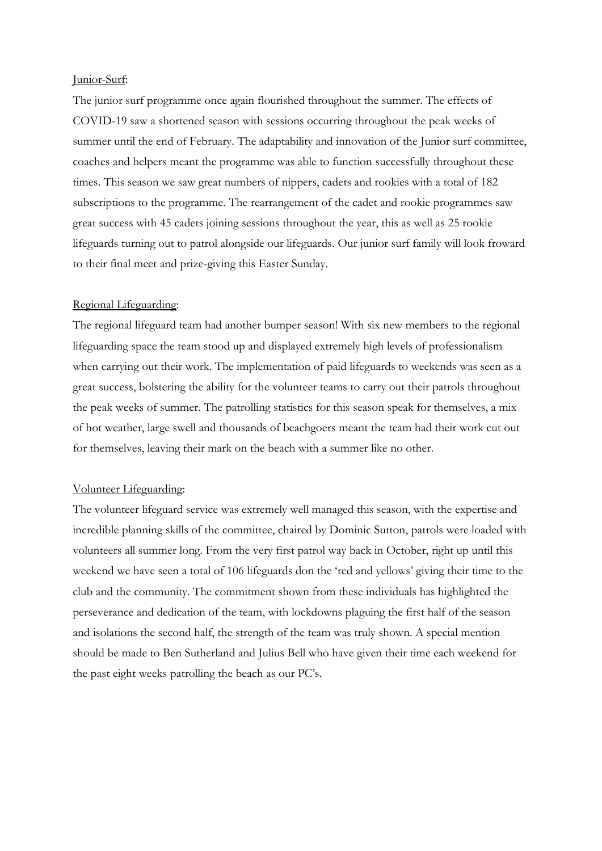#### Junior-Surf:

The junior surf programme once again flourished throughout the summer. The effects of COVID-19 saw a shortened season with sessions occurring throughout the peak weeks of summer until the end of February. The adaptability and innovation of the Junior surf committee, coaches and helpers meant the programme was able to function successfully throughout these times. This season we saw great numbers of nippers, cadets and rookies with a total of 182 subscriptions to the programme. The rearrangement of the cadet and rookie programmes saw great success with 45 cadets joining sessions throughout the year, this as well as 25 rookie lifeguards turning out to patrol alongside our lifeguards. Our junior surf family will look froward to their final meet and prize-giving this Easter Sunday.

# Regional Lifeguarding:

The regional lifeguard team had another bumper season! With six new members to the regional lifeguarding space the team stood up and displayed extremely high levels of professionalism when carrying out their work. The implementation of paid lifeguards to weekends was seen as a great success, bolstering the ability for the volunteer teams to carry out their patrols throughout the peak weeks of summer. The patrolling statistics for this season speak for themselves, a mix of hot weather, large swell and thousands of beachgoers meant the team had their work cut out for themselves, leaving their mark on the beach with a summer like no other.

### Volunteer Lifeguarding:

The volunteer lifeguard service was extremely well managed this season, with the expertise and incredible planning skills of the committee, chaired by Dominic Sutton, patrols were loaded with volunteers all summer long. From the very first patrol way back in October, right up until this weekend we have seen a total of 106 lifeguards don the 'red and yellows' giving their time to the club and the community. The commitment shown from these individuals has highlighted the perseverance and dedication of the team, with lockdowns plaguing the first half of the season and isolations the second half, the strength of the team was truly shown. A special mention should be made to Ben Sutherland and Julius Bell who have given their time each weekend for the past eight weeks patrolling the beach as our PC's.